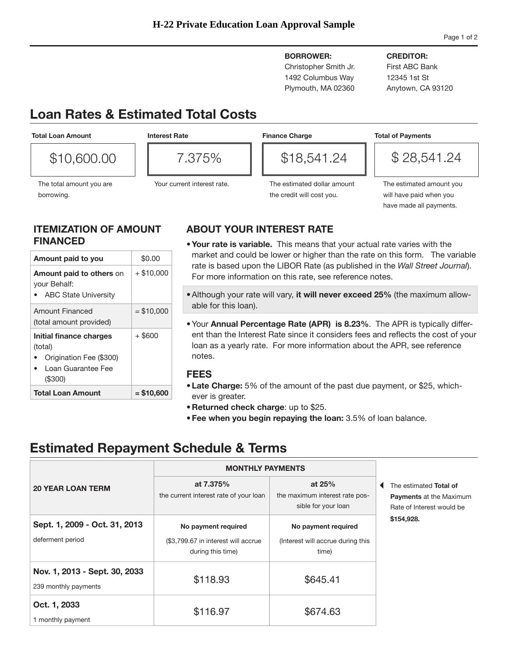**BORROWER:** Christopher Smith Jr. 1492 Columbus Way

Plymouth, MA 02360

### **CREDITOR:**

First ABC Bank 12345 1st St Anytown, CA 93120

# **Loan Rates & Estimated Total Costs**

**Total Loan Amount**

\$10,600.00

borrowing.

**Interest Rate**



The total amount you are

| $5\%$<br>7,<br>▔≺ |  |
|-------------------|--|
|                   |  |
|                   |  |

Your current interest rate.

## **Finance Charge**

\$18,541.24

\$ 28,541.24

**Total of Payments**

The estimated dollar amount the credit will cost you.

The estimated amount you will have paid when you have made all payments.

### **ITEMIZATION OF AMOUNT FINANCED**

| (\$300)                                                                             |              |
|-------------------------------------------------------------------------------------|--------------|
| Initial finance charges<br>(total)<br>Origination Fee (\$300)<br>Loan Guarantee Fee | $+$ \$600    |
| <b>Amount Financed</b><br>(total amount provided)                                   | $=$ \$10,000 |
| Amount paid to others on<br>your Behalf:<br><b>ABC State University</b>             | $+$ \$10,000 |
| Amount paid to you                                                                  | \$0.00       |

## **ABOUT YOUR INTEREST RATE**

- **•Your rate is variable.** This means that your actual rate varies with the market and could be lower or higher than the rate on this form. The variable rate is based upon the LIBOR Rate (as published in the *Wall Street Journal*). For more information on this rate, see reference notes.
- •Although your rate will vary, **it will never exceed 25%** (the maximum allowable for this loan).
- •Your **Annual Percentage Rate (APR) is 8.23%**. The APR is typically different than the Interest Rate since it considers fees and reflects the cost of your loan as a yearly rate. For more information about the APR, see reference notes.

### **FEES**

- **• Late Charge:** 5% of the amount of the past due payment, or \$25, whichever is greater.
- **• Returned check charge**: up to \$25.
- **• Fee when you begin repaying the loan:** 3.5% of loan balance.

# **Estimated Repayment Schedule & Terms**

|                                                       | <b>MONTHLY PAYMENTS</b>                                                         |                                                                   |                                                                                       |
|-------------------------------------------------------|---------------------------------------------------------------------------------|-------------------------------------------------------------------|---------------------------------------------------------------------------------------|
| <b>20 YEAR LOAN TERM</b>                              | at 7.375%<br>the current interest rate of your loan                             | at $25%$<br>the maximum interest rate pos-<br>sible for your loan | The estimated Total of<br><b>Payments at the Maximum</b><br>Rate of Interest would be |
| Sept. 1, 2009 - Oct. 31, 2013<br>deferment period     | No payment required<br>(\$3,799.67 in interest will accrue<br>during this time) | No payment required<br>(Interest will accrue during this<br>time) | \$154,928.                                                                            |
| Nov. 1, 2013 - Sept. 30, 2033<br>239 monthly payments | \$118.93                                                                        | \$645.41                                                          |                                                                                       |
| Oct. 1, 2033<br>1 monthly payment                     | \$116.97                                                                        | \$674.63                                                          |                                                                                       |